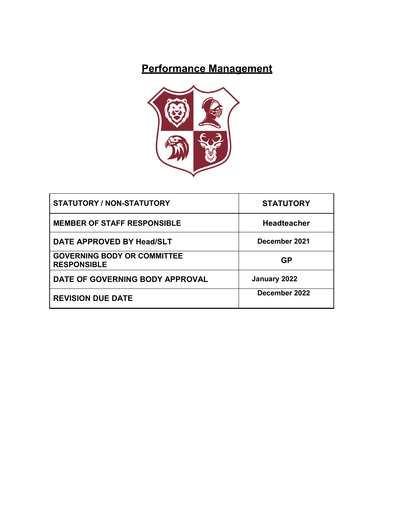# **Performance Management**



| <b>STATUTORY / NON-STATUTORY</b>                         | <b>STATUTORY</b>   |
|----------------------------------------------------------|--------------------|
| <b>MEMBER OF STAFF RESPONSIBLE</b>                       | <b>Headteacher</b> |
| DATE APPROVED BY Head/SLT                                | December 2021      |
| <b>GOVERNING BODY OR COMMITTEE</b><br><b>RESPONSIBLE</b> | <b>GP</b>          |
| DATE OF GOVERNING BODY APPROVAL                          | January 2022       |
| <b>REVISION DUE DATE</b>                                 | December 2022      |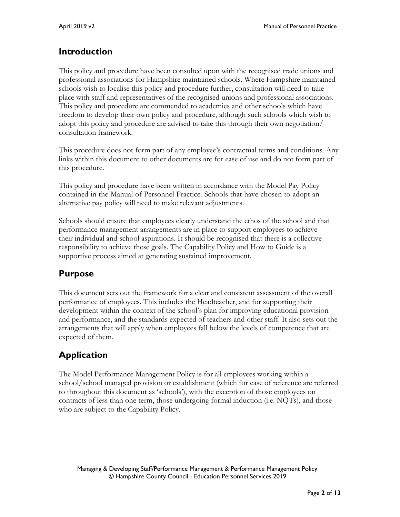# **Introduction**

This policy and procedure have been consulted upon with the recognised trade unions and professional associations for Hampshire maintained schools. Where Hampshire maintained schools wish to localise this policy and procedure further, consultation will need to take place with staff and representatives of the recognised unions and professional associations. This policy and procedure are commended to academies and other schools which have freedom to develop their own policy and procedure, although such schools which wish to adopt this policy and procedure are advised to take this through their own negotiation/ consultation framework.

This procedure does not form part of any employee's contractual terms and conditions. Any links within this document to other documents are for ease of use and do not form part of this procedure.

This policy and procedure have been written in accordance with the Model Pay Policy contained in the Manual of Personnel Practice. Schools that have chosen to adopt an alternative pay policy will need to make relevant adjustments.

Schools should ensure that employees clearly understand the ethos of the school and that performance management arrangements are in place to support employees to achieve their individual and school aspirations. It should be recognised that there is a collective responsibility to achieve these goals. The Capability Policy and How to Guide is a supportive process aimed at generating sustained improvement.

# **Purpose**

This document sets out the framework for a clear and consistent assessment of the overall performance of employees. This includes the Headteacher, and for supporting their development within the context of the school's plan for improving educational provision and performance, and the standards expected of teachers and other staff. It also sets out the arrangements that will apply when employees fall below the levels of competence that are expected of them.

# **Application**

The Model Performance Management Policy is for all employees working within a school/school managed provision or establishment (which for ease of reference are referred to throughout this document as 'schools'), with the exception of those employees on contracts of less than one term, those undergoing formal induction (i.e. NQTs), and those who are subject to the Capability Policy.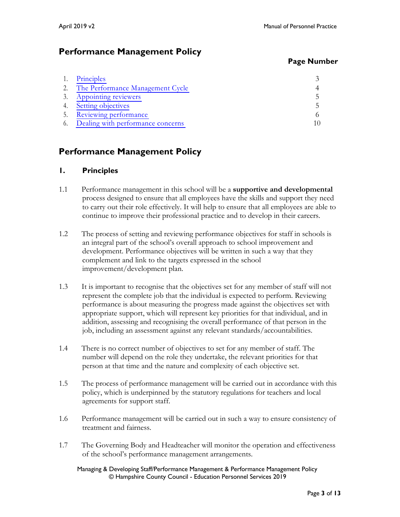# **Performance Management Policy**

## **Page Number**

| Principles                        |  |
|-----------------------------------|--|
| The Performance Management Cycle  |  |
| Appointing reviewers              |  |
| Setting objectives                |  |
| Reviewing performance             |  |
| Dealing with performance concerns |  |

# **Performance Management Policy**

# **1. Principles**

- 1.1 Performance management in this school will be a **supportive and developmental** process designed to ensure that all employees have the skills and support they need to carry out their role effectively. It will help to ensure that all employees are able to continue to improve their professional practice and to develop in their careers.
- 1.2 The process of setting and reviewing performance objectives for staff in schools is an integral part of the school's overall approach to school improvement and development. Performance objectives will be written in such a way that they complement and link to the targets expressed in the school improvement/development plan.
- 1.3 It is important to recognise that the objectives set for any member of staff will not represent the complete job that the individual is expected to perform. Reviewing performance is about measuring the progress made against the objectives set with appropriate support, which will represent key priorities for that individual, and in addition, assessing and recognising the overall performance of that person in the job, including an assessment against any relevant standards/accountabilities.
- 1.4 There is no correct number of objectives to set for any member of staff. The number will depend on the role they undertake, the relevant priorities for that person at that time and the nature and complexity of each objective set.
- 1.5 The process of performance management will be carried out in accordance with this policy, which is underpinned by the statutory regulations for teachers and local agreements for support staff.
- 1.6 Performance management will be carried out in such a way to ensure consistency of treatment and fairness.
- 1.7 The Governing Body and Headteacher will monitor the operation and effectiveness of the school's performance management arrangements.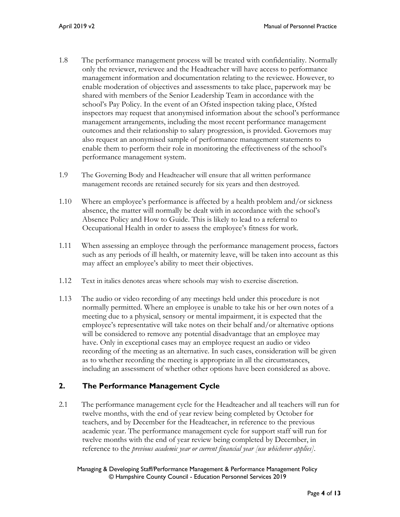- 1.8 The performance management process will be treated with confidentiality. Normally only the reviewer, reviewee and the Headteacher will have access to performance management information and documentation relating to the reviewee. However, to enable moderation of objectives and assessments to take place, paperwork may be shared with members of the Senior Leadership Team in accordance with the school's Pay Policy. In the event of an Ofsted inspection taking place, Ofsted inspectors may request that anonymised information about the school's performance management arrangements, including the most recent performance management outcomes and their relationship to salary progression, is provided. Governors may also request an anonymised sample of performance management statements to enable them to perform their role in monitoring the effectiveness of the school's performance management system.
- 1.9 The Governing Body and Headteacher will ensure that all written performance management records are retained securely for six years and then destroyed.
- 1.10 Where an employee's performance is affected by a health problem and/or sickness absence, the matter will normally be dealt with in accordance with the school's Absence Policy and How to Guide. This is likely to lead to a referral to Occupational Health in order to assess the employee's fitness for work.
- 1.11 When assessing an employee through the performance management process, factors such as any periods of ill health, or maternity leave, will be taken into account as this may affect an employee's ability to meet their objectives.
- 1.12 Text in italics denotes areas where schools may wish to exercise discretion.
- 1.13 The audio or video recording of any meetings held under this procedure is not normally permitted. Where an employee is unable to take his or her own notes of a meeting due to a physical, sensory or mental impairment, it is expected that the employee's representative will take notes on their behalf and/or alternative options will be considered to remove any potential disadvantage that an employee may have. Only in exceptional cases may an employee request an audio or video recording of the meeting as an alternative. In such cases, consideration will be given as to whether recording the meeting is appropriate in all the circumstances, including an assessment of whether other options have been considered as above.

# **2. The Performance Management Cycle**

2.1 The performance management cycle for the Headteacher and all teachers will run for twelve months, with the end of year review being completed by October for teachers, and by December for the Headteacher, in reference to the previous academic year. The performance management cycle for support staff will run for twelve months with the end of year review being completed by December, in reference to the *previous academic year or current financial year [use whichever applies]*.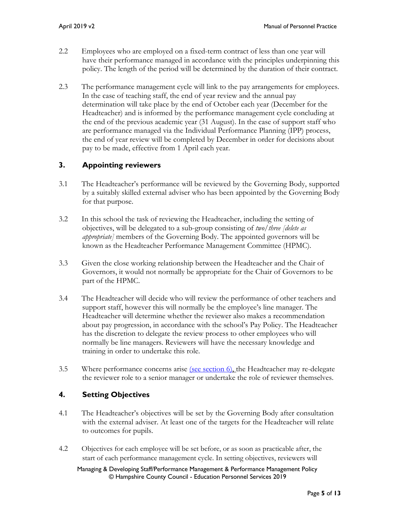- 2.2 Employees who are employed on a fixed-term contract of less than one year will have their performance managed in accordance with the principles underpinning this policy. The length of the period will be determined by the duration of their contract.
- 2.3 The performance management cycle will link to the pay arrangements for employees. In the case of teaching staff, the end of year review and the annual pay determination will take place by the end of October each year (December for the Headteacher) and is informed by the performance management cycle concluding at the end of the previous academic year (31 August). In the case of support staff who are performance managed via the Individual Performance Planning (IPP) process, the end of year review will be completed by December in order for decisions about pay to be made, effective from 1 April each year.

# **3. Appointing reviewers**

- 3.1 The Headteacher's performance will be reviewed by the Governing Body, supported by a suitably skilled external adviser who has been appointed by the Governing Body for that purpose.
- 3.2 In this school the task of reviewing the Headteacher, including the setting of objectives, will be delegated to a sub-group consisting of *two/three [delete as appropriate]* members of the Governing Body. The appointed governors will be known as the Headteacher Performance Management Committee (HPMC).
- 3.3 Given the close working relationship between the Headteacher and the Chair of Governors, it would not normally be appropriate for the Chair of Governors to be part of the HPMC.
- 3.4 The Headteacher will decide who will review the performance of other teachers and support staff, however this will normally be the employee's line manager. The Headteacher will determine whether the reviewer also makes a recommendation about pay progression, in accordance with the school's Pay Policy. The Headteacher has the discretion to delegate the review process to other employees who will normally be line managers. Reviewers will have the necessary knowledge and training in order to undertake this role.
- 3.5 Where performance concerns arise (see section  $6$ ), the Headteacher may re-delegate the reviewer role to a senior manager or undertake the role of reviewer themselves.

# **4. Setting Objectives**

- 4.1 The Headteacher's objectives will be set by the Governing Body after consultation with the external adviser. At least one of the targets for the Headteacher will relate to outcomes for pupils.
- 4.2 Objectives for each employee will be set before, or as soon as practicable after, the start of each performance management cycle. In setting objectives, reviewers will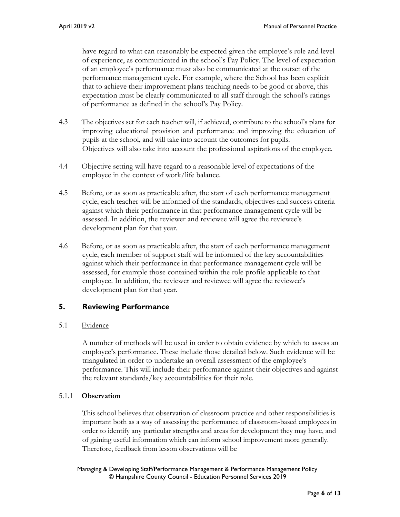have regard to what can reasonably be expected given the employee's role and level of experience, as communicated in the school's Pay Policy. The level of expectation of an employee's performance must also be communicated at the outset of the performance management cycle. For example, where the School has been explicit that to achieve their improvement plans teaching needs to be good or above, this expectation must be clearly communicated to all staff through the school's ratings of performance as defined in the school's Pay Policy.

- 4.3 The objectives set for each teacher will, if achieved, contribute to the school's plans for improving educational provision and performance and improving the education of pupils at the school, and will take into account the outcomes for pupils. Objectives will also take into account the professional aspirations of the employee.
- 4.4 Objective setting will have regard to a reasonable level of expectations of the employee in the context of work/life balance.
- 4.5 Before, or as soon as practicable after, the start of each performance management cycle, each teacher will be informed of the standards, objectives and success criteria against which their performance in that performance management cycle will be assessed. In addition, the reviewer and reviewee will agree the reviewee's development plan for that year.
- 4.6 Before, or as soon as practicable after, the start of each performance management cycle, each member of support staff will be informed of the key accountabilities against which their performance in that performance management cycle will be assessed, for example those contained within the role profile applicable to that employee. In addition, the reviewer and reviewee will agree the reviewee's development plan for that year.

# **5. Reviewing Performance**

# 5.1 Evidence

A number of methods will be used in order to obtain evidence by which to assess an employee's performance. These include those detailed below. Such evidence will be triangulated in order to undertake an overall assessment of the employee's performance. This will include their performance against their objectives and against the relevant standards/key accountabilities for their role.

# 5.1.1 **Observation**

This school believes that observation of classroom practice and other responsibilities is important both as a way of assessing the performance of classroom-based employees in order to identify any particular strengths and areas for development they may have, and of gaining useful information which can inform school improvement more generally. Therefore, feedback from lesson observations will be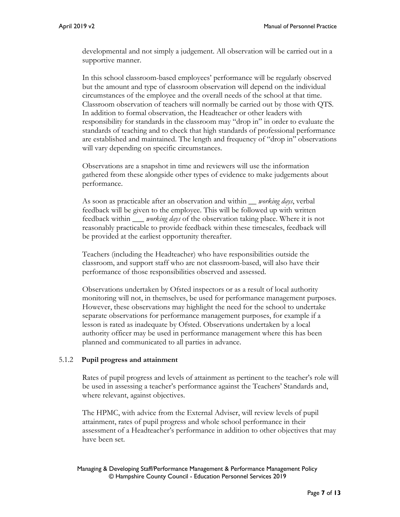developmental and not simply a judgement. All observation will be carried out in a supportive manner.

In this school classroom-based employees' performance will be regularly observed but the amount and type of classroom observation will depend on the individual circumstances of the employee and the overall needs of the school at that time. Classroom observation of teachers will normally be carried out by those with QTS. In addition to formal observation, the Headteacher or other leaders with responsibility for standards in the classroom may "drop in" in order to evaluate the standards of teaching and to check that high standards of professional performance are established and maintained. The length and frequency of "drop in" observations will vary depending on specific circumstances.

Observations are a snapshot in time and reviewers will use the information gathered from these alongside other types of evidence to make judgements about performance.

As soon as practicable after an observation and within *\_\_ working days*, verbal feedback will be given to the employee. This will be followed up with written feedback within *\_\_\_ working days* of the observation taking place. Where it is not reasonably practicable to provide feedback within these timescales, feedback will be provided at the earliest opportunity thereafter.

Teachers (including the Headteacher) who have responsibilities outside the classroom, and support staff who are not classroom-based, will also have their performance of those responsibilities observed and assessed.

Observations undertaken by Ofsted inspectors or as a result of local authority monitoring will not, in themselves, be used for performance management purposes. However, these observations may highlight the need for the school to undertake separate observations for performance management purposes, for example if a lesson is rated as inadequate by Ofsted. Observations undertaken by a local authority officer may be used in performance management where this has been planned and communicated to all parties in advance.

#### 5.1.2 **Pupil progress and attainment**

Rates of pupil progress and levels of attainment as pertinent to the teacher's role will be used in assessing a teacher's performance against the Teachers' Standards and, where relevant, against objectives.

The HPMC, with advice from the External Adviser, will review levels of pupil attainment, rates of pupil progress and whole school performance in their assessment of a Headteacher's performance in addition to other objectives that may have been set.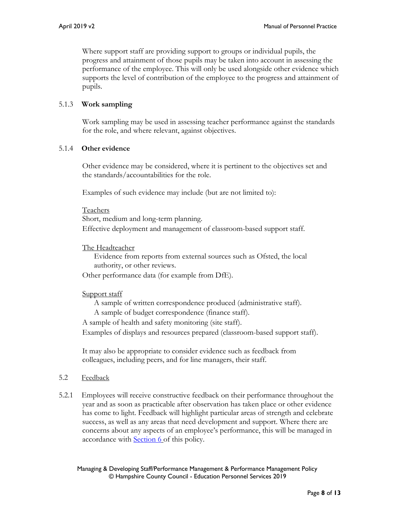Where support staff are providing support to groups or individual pupils, the progress and attainment of those pupils may be taken into account in assessing the performance of the employee. This will only be used alongside other evidence which supports the level of contribution of the employee to the progress and attainment of pupils.

## 5.1.3 **Work sampling**

Work sampling may be used in assessing teacher performance against the standards for the role, and where relevant, against objectives.

#### 5.1.4 **Other evidence**

Other evidence may be considered, where it is pertinent to the objectives set and the standards/accountabilities for the role.

Examples of such evidence may include (but are not limited to):

#### Teachers

Short, medium and long-term planning. Effective deployment and management of classroom-based support staff.

#### The Headteacher

Evidence from reports from external sources such as Ofsted, the local authority, or other reviews.

Other performance data (for example from DfE).

#### Support staff

A sample of written correspondence produced (administrative staff).

A sample of budget correspondence (finance staff).

A sample of health and safety monitoring (site staff).

Examples of displays and resources prepared (classroom-based support staff).

It may also be appropriate to consider evidence such as feedback from colleagues, including peers, and for line managers, their staff.

#### 5.2 Feedback

5.2.1 Employees will receive constructive feedback on their performance throughout the year and as soon as practicable after observation has taken place or other evidence has come to light. Feedback will highlight particular areas of strength and celebrate success, as well as any areas that need development and support. Where there are concerns about any aspects of an employee's performance, this will be managed in accordance with **Section 6** of this policy.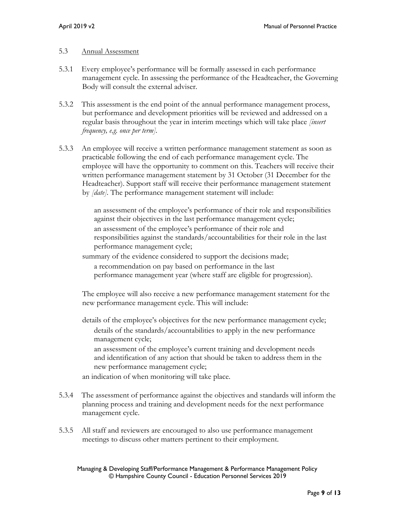#### 5.3 Annual Assessment

- 5.3.1 Every employee's performance will be formally assessed in each performance management cycle. In assessing the performance of the Headteacher, the Governing Body will consult the external adviser.
- 5.3.2 This assessment is the end point of the annual performance management process, but performance and development priorities will be reviewed and addressed on a regular basis throughout the year in interim meetings which will take place *[insert frequency, e.g. once per term].*
- 5.3.3 An employee will receive a written performance management statement as soon as practicable following the end of each performance management cycle. The employee will have the opportunity to comment on this. Teachers will receive their written performance management statement by 31 October (31 December for the Headteacher). Support staff will receive their performance management statement by *[date].* The performance management statement will include:

an assessment of the employee's performance of their role and responsibilities against their objectives in the last performance management cycle; an assessment of the employee's performance of their role and responsibilities against the standards/accountabilities for their role in the last performance management cycle;

summary of the evidence considered to support the decisions made; a recommendation on pay based on performance in the last performance management year (where staff are eligible for progression).

The employee will also receive a new performance management statement for the new performance management cycle. This will include:

details of the employee's objectives for the new performance management cycle; details of the standards/accountabilities to apply in the new performance management cycle;

an assessment of the employee's current training and development needs and identification of any action that should be taken to address them in the new performance management cycle;

an indication of when monitoring will take place.

- 5.3.4 The assessment of performance against the objectives and standards will inform the planning process and training and development needs for the next performance management cycle.
- 5.3.5 All staff and reviewers are encouraged to also use performance management meetings to discuss other matters pertinent to their employment.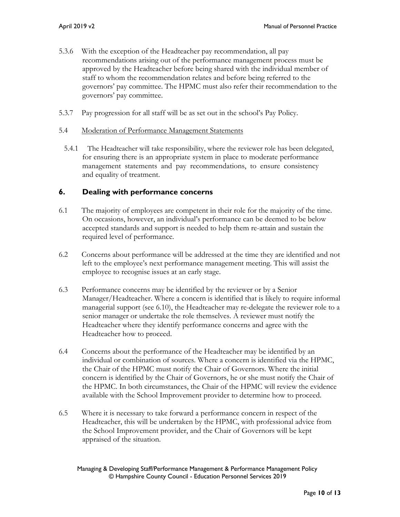- 5.3.6 With the exception of the Headteacher pay recommendation, all pay recommendations arising out of the performance management process must be approved by the Headteacher before being shared with the individual member of staff to whom the recommendation relates and before being referred to the governors' pay committee. The HPMC must also refer their recommendation to the governors' pay committee.
- 5.3.7 Pay progression for all staff will be as set out in the school's Pay Policy.

#### 5.4 Moderation of Performance Management Statements

5.4.1 The Headteacher will take responsibility, where the reviewer role has been delegated, for ensuring there is an appropriate system in place to moderate performance management statements and pay recommendations, to ensure consistency and equality of treatment.

### **6. Dealing with performance concerns**

- 6.1 The majority of employees are competent in their role for the majority of the time. On occasions, however, an individual's performance can be deemed to be below accepted standards and support is needed to help them re-attain and sustain the required level of performance.
- 6.2 Concerns about performance will be addressed at the time they are identified and not left to the employee's next performance management meeting. This will assist the employee to recognise issues at an early stage.
- 6.3 Performance concerns may be identified by the reviewer or by a Senior Manager/Headteacher. Where a concern is identified that is likely to require informal managerial support (see 6.10), the Headteacher may re-delegate the reviewer role to a senior manager or undertake the role themselves. A reviewer must notify the Headteacher where they identify performance concerns and agree with the Headteacher how to proceed.
- 6.4 Concerns about the performance of the Headteacher may be identified by an individual or combination of sources. Where a concern is identified via the HPMC, the Chair of the HPMC must notify the Chair of Governors. Where the initial concern is identified by the Chair of Governors, he or she must notify the Chair of the HPMC. In both circumstances, the Chair of the HPMC will review the evidence available with the School Improvement provider to determine how to proceed.
- 6.5 Where it is necessary to take forward a performance concern in respect of the Headteacher, this will be undertaken by the HPMC, with professional advice from the School Improvement provider, and the Chair of Governors will be kept appraised of the situation.

Managing & Developing Staff/Performance Management & Performance Management Policy © Hampshire County Council - Education Personnel Services 2019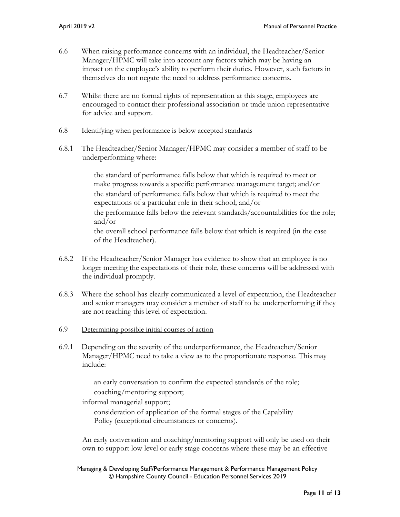- 6.6 When raising performance concerns with an individual, the Headteacher/Senior Manager/HPMC will take into account any factors which may be having an impact on the employee's ability to perform their duties. However, such factors in themselves do not negate the need to address performance concerns.
- 6.7 Whilst there are no formal rights of representation at this stage, employees are encouraged to contact their professional association or trade union representative for advice and support.
- 6.8 Identifying when performance is below accepted standards
- 6.8.1 The Headteacher/Senior Manager/HPMC may consider a member of staff to be underperforming where:

the standard of performance falls below that which is required to meet or make progress towards a specific performance management target; and/or the standard of performance falls below that which is required to meet the expectations of a particular role in their school; and/or the performance falls below the relevant standards/accountabilities for the role; and/or the overall school performance falls below that which is required (in the case of the Headteacher).

- 6.8.2 If the Headteacher/Senior Manager has evidence to show that an employee is no longer meeting the expectations of their role, these concerns will be addressed with the individual promptly.
- 6.8.3 Where the school has clearly communicated a level of expectation, the Headteacher and senior managers may consider a member of staff to be underperforming if they are not reaching this level of expectation.
- 6.9 Determining possible initial courses of action
- 6.9.1 Depending on the severity of the underperformance, the Headteacher/Senior Manager/HPMC need to take a view as to the proportionate response. This may include:

an early conversation to confirm the expected standards of the role; coaching/mentoring support;

informal managerial support;

consideration of application of the formal stages of the Capability Policy (exceptional circumstances or concerns).

An early conversation and coaching/mentoring support will only be used on their own to support low level or early stage concerns where these may be an effective

Managing & Developing Staff/Performance Management & Performance Management Policy © Hampshire County Council - Education Personnel Services 2019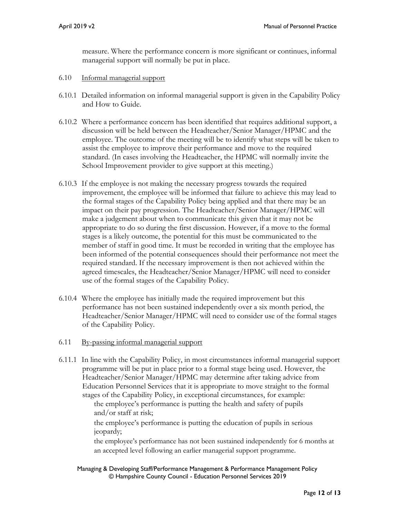measure. Where the performance concern is more significant or continues, informal managerial support will normally be put in place.

- 6.10 Informal managerial support
- 6.10.1 Detailed information on informal managerial support is given in the Capability Policy and How to Guide.
- 6.10.2 Where a performance concern has been identified that requires additional support, a discussion will be held between the Headteacher/Senior Manager/HPMC and the employee. The outcome of the meeting will be to identify what steps will be taken to assist the employee to improve their performance and move to the required standard. (In cases involving the Headteacher, the HPMC will normally invite the School Improvement provider to give support at this meeting.)
- 6.10.3 If the employee is not making the necessary progress towards the required improvement, the employee will be informed that failure to achieve this may lead to the formal stages of the Capability Policy being applied and that there may be an impact on their pay progression. The Headteacher/Senior Manager/HPMC will make a judgement about when to communicate this given that it may not be appropriate to do so during the first discussion. However, if a move to the formal stages is a likely outcome, the potential for this must be communicated to the member of staff in good time. It must be recorded in writing that the employee has been informed of the potential consequences should their performance not meet the required standard. If the necessary improvement is then not achieved within the agreed timescales, the Headteacher/Senior Manager/HPMC will need to consider use of the formal stages of the Capability Policy.
- 6.10.4 Where the employee has initially made the required improvement but this performance has not been sustained independently over a six month period, the Headteacher/Senior Manager/HPMC will need to consider use of the formal stages of the Capability Policy.
- 6.11 By-passing informal managerial support
- 6.11.1 In line with the Capability Policy, in most circumstances informal managerial support programme will be put in place prior to a formal stage being used. However, the Headteacher/Senior Manager/HPMC may determine after taking advice from Education Personnel Services that it is appropriate to move straight to the formal stages of the Capability Policy, in exceptional circumstances, for example:

the employee's performance is putting the health and safety of pupils and/or staff at risk;

the employee's performance is putting the education of pupils in serious jeopardy;

the employee's performance has not been sustained independently for 6 months at an accepted level following an earlier managerial support programme.